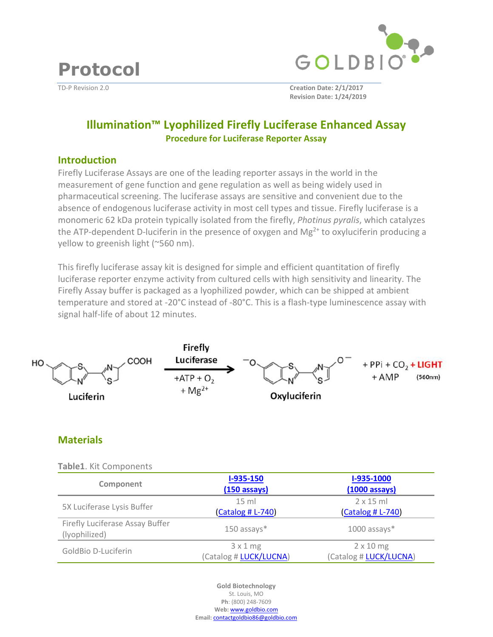



TD-P Revision 2.0 **Creation Date: 2/1/2017 Revision Date: 1/24/2019**

# **Illumination™ Lyophilized Firefly Luciferase Enhanced Assay Procedure for Luciferase Reporter Assay**

#### **Introduction**

Firefly Luciferase Assays are one of the leading reporter assays in the world in the measurement of gene function and gene regulation as well as being widely used in pharmaceutical screening. The luciferase assays are sensitive and convenient due to the absence of endogenous luciferase activity in most cell types and tissue. Firefly luciferase is a monomeric 62 kDa protein typically isolated from the firefly, *Photinus pyralis*, which catalyzes the ATP-dependent D-luciferin in the presence of oxygen and  $Mg^{2+}$  to oxyluciferin producing a yellow to greenish light (~560 nm).

This firefly luciferase assay kit is designed for simple and efficient quantitation of firefly luciferase reporter enzyme activity from cultured cells with high sensitivity and linearity. The Firefly Assay buffer is packaged as a lyophilized powder, which can be shipped at ambient temperature and stored at -20°C instead of -80°C. This is a flash-type luminescence assay with signal half-life of about 12 minutes.



## **Materials**

| Table1. Kit Components                           |                                      |                                            |
|--------------------------------------------------|--------------------------------------|--------------------------------------------|
| Component                                        | I-935-150<br>$(150$ assays)          | I-935-1000<br>$(1000 \text{ assays})$      |
| 5X Luciferase Lysis Buffer                       | $15 \text{ ml}$<br>(Catalog # L-740) | $2 \times 15$ ml<br>(Catalog # L-740)      |
| Firefly Luciferase Assay Buffer<br>(lyophilized) | $150$ assays $*$                     | $1000$ assays $*$                          |
| GoldBio D-Luciferin                              | 3x1mg<br>(Catalog # LUCK/LUCNA)      | $2 \times 10$ mg<br>(Catalog # LUCK/LUCNA) |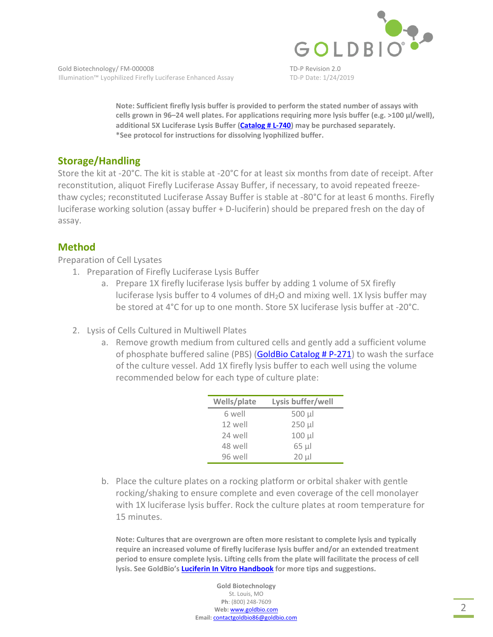

**Note: Sufficient firefly lysis buffer is provided to perform the stated number of assays with cells grown in 96–24 well plates. For applications requiring more lysis buffer (e.g. >100 µl/well), additional 5X Lucife[rase Lysis Buffer \(Catalog # L-740\)](https://www.goldbio.com/product/12778/5x-luciferase-lysis-buffer) may be purchased separately. \*See protocol for instructions for dissolving lyophilized buffer.** 

## **Storage/Handling**

Store the kit at -20°C. The kit is stable at -20°C for at least six months from date of receipt. After reconstitution, aliquot Firefly Luciferase Assay Buffer, if necessary, to avoid repeated freezethaw cycles; reconstituted Luciferase Assay Buffer is stable at -80°C for at least 6 months. Firefly luciferase working solution (assay buffer + D-luciferin) should be prepared fresh on the day of assay.

#### **Method**

Preparation of Cell Lysates

- 1. Preparation of Firefly Luciferase Lysis Buffer
	- a. Prepare 1X firefly luciferase lysis buffer by adding 1 volume of 5X firefly luciferase lysis buffer to 4 volumes of dH2O and mixing well. 1X lysis buffer may be stored at 4°C for up to one month. Store 5X luciferase lysis buffer at -20°C.
- 2. Lysis of Cells Cultured in Multiwell Plates
	- a. Remove growth medium from cultured cells and gently add a sufficient volume of phosphate buffere[d saline \(PBS\) \(GoldBio Catalog # P-271](https://www.goldbio.com/product/3927/pbs-phosphate-buffered-saline-tablets)) to wash the surface of the culture vessel. Add 1X firefly lysis buffer to each well using the volume recommended below for each type of culture plate:

| Wells/plate | Lysis buffer/well |
|-------------|-------------------|
| 6 well      | $500 \mu$         |
| 12 well     | $250 \mu$         |
| 24 well     | $100 \mu$         |
| 48 well     | $65$ $\mu$        |
| 96 well     | $20 \mu$          |

b. Place the culture plates on a rocking platform or orbital shaker with gentle rocking/shaking to ensure complete and even coverage of the cell monolayer with 1X luciferase lysis buffer. Rock the culture plates at room temperature for 15 minutes.

**Note: Cultures that are overgrown are often more resistant to complete lysis and typically require an increased volume of firefly luciferase lysis buffer and/or an extended treatment period to ensure complete lysis. Lifting cells from the plate will facilitate the process of cell ly[sis. See GoldBio's Luciferin In Vitro Handbook](https://www.goldbio.com/documents/1067/Luciferin In Vitro Book v1_160422.pdf) for more tips and suggestions.**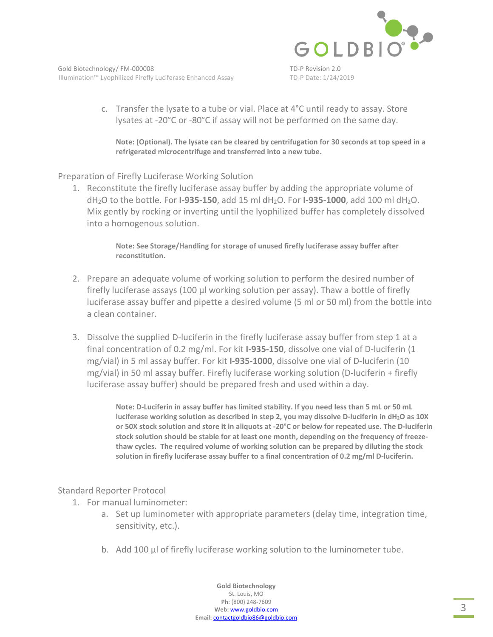

c. Transfer the lysate to a tube or vial. Place at 4°C until ready to assay. Store lysates at -20°C or -80°C if assay will not be performed on the same day.

**Note: (Optional). The lysate can be cleared by centrifugation for 30 seconds at top speed in a refrigerated microcentrifuge and transferred into a new tube.** 

Preparation of Firefly Luciferase Working Solution

1. Reconstitute the firefly luciferase assay buffer by adding the appropriate volume of dH2O to the bottle. For **I-935-150**, add 15 ml dH2O. For **I-935-1000**, add 100 ml dH2O. Mix gently by rocking or inverting until the lyophilized buffer has completely dissolved into a homogenous solution.

> **Note: See Storage/Handling for storage of unused firefly luciferase assay buffer after reconstitution.**

- 2. Prepare an adequate volume of working solution to perform the desired number of firefly luciferase assays (100 µl working solution per assay). Thaw a bottle of firefly luciferase assay buffer and pipette a desired volume (5 ml or 50 ml) from the bottle into a clean container.
- 3. Dissolve the supplied D-luciferin in the firefly luciferase assay buffer from step 1 at a final concentration of 0.2 mg/ml. For kit **I-935-150**, dissolve one vial of D-luciferin (1 mg/vial) in 5 ml assay buffer. For kit **I-935-1000**, dissolve one vial of D-luciferin (10 mg/vial) in 50 ml assay buffer. Firefly luciferase working solution (D-luciferin + firefly luciferase assay buffer) should be prepared fresh and used within a day.

**Note: D-Luciferin in assay buffer has limited stability. If you need less than 5 mL or 50 mL luciferase working solution as described in step 2, you may dissolve D-luciferin in dH2O as 10X or 50X stock solution and store it in aliquots at -20°C or below for repeated use. The D-luciferin stock solution should be stable for at least one month, depending on the frequency of freezethaw cycles. The required volume of working solution can be prepared by diluting the stock solution in firefly luciferase assay buffer to a final concentration of 0.2 mg/ml D-luciferin.** 

#### Standard Reporter Protocol

- 1. For manual luminometer:
	- a. Set up luminometer with appropriate parameters (delay time, integration time, sensitivity, etc.).
	- b. Add 100 µl of firefly luciferase working solution to the luminometer tube.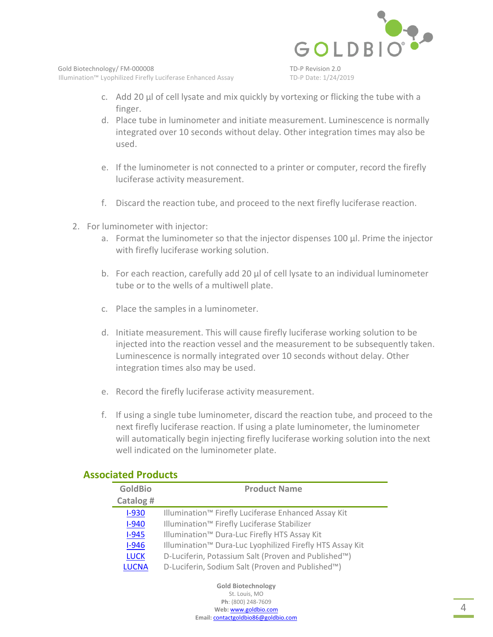

- c. Add 20 µl of cell lysate and mix quickly by vortexing or flicking the tube with a finger.
- d. Place tube in luminometer and initiate measurement. Luminescence is normally integrated over 10 seconds without delay. Other integration times may also be used.
- e. If the luminometer is not connected to a printer or computer, record the firefly luciferase activity measurement.
- f. Discard the reaction tube, and proceed to the next firefly luciferase reaction.
- 2. For luminometer with injector:
	- a. Format the luminometer so that the injector dispenses 100 µl. Prime the injector with firefly luciferase working solution.
	- b. For each reaction, carefully add 20 µl of cell lysate to an individual luminometer tube or to the wells of a multiwell plate.
	- c. Place the samples in a luminometer.
	- d. Initiate measurement. This will cause firefly luciferase working solution to be injected into the reaction vessel and the measurement to be subsequently taken. Luminescence is normally integrated over 10 seconds without delay. Other integration times also may be used.
	- e. Record the firefly luciferase activity measurement.
	- f. If using a single tube luminometer, discard the reaction tube, and proceed to the next firefly luciferase reaction. If using a plate luminometer, the luminometer will automatically begin injecting firefly luciferase working solution into the next well indicated on the luminometer plate.

| <b>Product Name</b>                                                  |
|----------------------------------------------------------------------|
|                                                                      |
| Illumination <sup>™</sup> Firefly Luciferase Enhanced Assay Kit      |
| Illumination <sup>™</sup> Firefly Luciferase Stabilizer              |
| Illumination <sup>™</sup> Dura-Luc Firefly HTS Assay Kit             |
| Illumination <sup>™</sup> Dura-Luc Lyophilized Firefly HTS Assay Kit |
| D-Luciferin, Potassium Salt (Proven and Published™)                  |
| D-Luciferin, Sodium Salt (Proven and Published™)                     |
|                                                                      |

## **Associated Products**